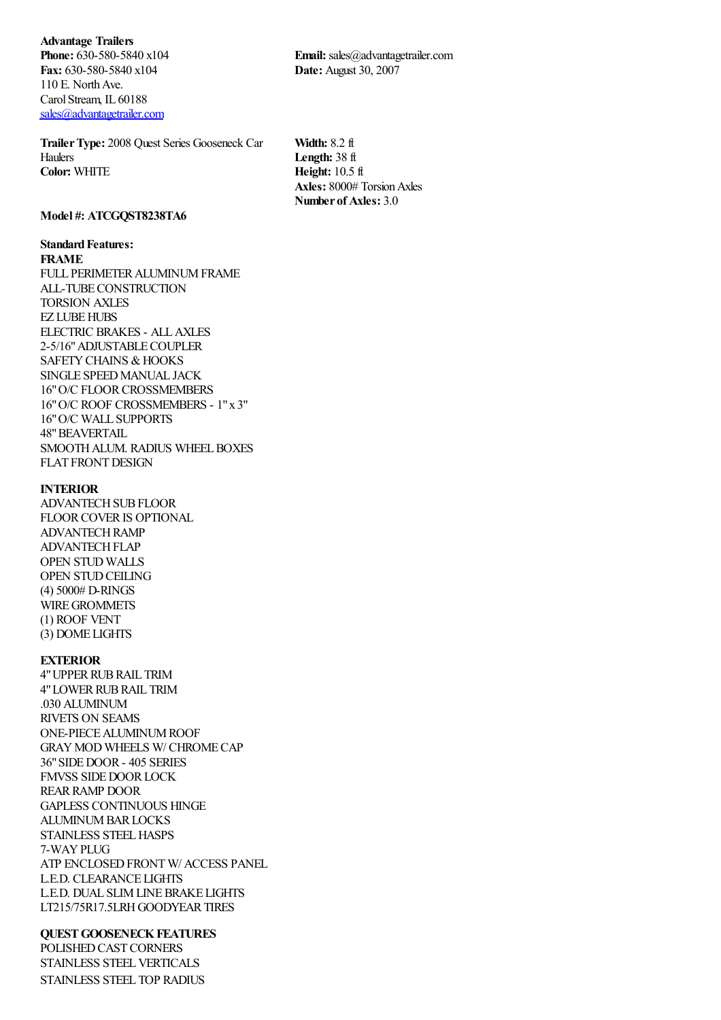**Advantage Trailers Phone:** 630-580-5840 x104 **Fax:** 630-580-5840 x104 110 E. North Ave. Carol Stream, IL 60188 [sales@advantagetrailer.com](mailto:sales@advantagetrailer.com)

**TrailerType:** 2008 Quest Series Gooseneck Car Haulers **Color:** WHITE

**Email:** sales@advantagetrailer.com **Date:** August 30, 2007

**Width:** 8.2 ft **Length:** 38 ft **Height:** 10.5 ft **Axles:** 8000# TorsionAxles **Number of Axles:** 3.0

## **Model #: ATCGQST8238TA6**

# **Standard Features:**

**FRAME**

FULL PERIMETER ALUMINUM FRAME ALL-TUBECONSTRUCTION TORSION AXLES EZ LUBEHUBS ELECTRIC BRAKES - ALLAXLES 2-5/16"ADJUSTABLECOUPLER SAFETY CHAINS & HOOKS SINGLE SPEED MANUAL JACK 16"O/C FLOORCROSSMEMBERS 16"O/C ROOF CROSSMEMBERS - 1"x 3" 16"O/C WALL SUPPORTS 48"BEAVERTAIL SMOOTH ALUM. RADIUS WHEEL BOXES FLAT FRONT DESIGN

#### **INTERIOR**

ADVANTECHSUBFLOOR FLOORCOVERIS OPTIONAL ADVANTECHRAMP ADVANTECH FLAP OPEN STUD WALLS OPEN STUD CEILING (4) 5000# D-RINGS WIRE GROMMETS (1) ROOF VENT (3) DOME LIGHTS

## **EXTERIOR**

4"UPPERRUBRAIL TRIM 4" LOWER RUB RAIL TRIM .030 ALUMINUM RIVETS ON SEAMS ONE-PIECEALUMINUMROOF GRAYMOD WHEELS W/ CHROMECAP 36"SIDEDOOR- 405 SERIES FMVSS SIDE DOOR LOCK REAR RAMP DOOR GAPLESS CONTINUOUS HINGE **ALUMINUM BAR LOCKS** STAINLESS STEEL HASPS 7-WAYPLUG ATP ENCLOSED FRONT W/ ACCESS PANEL L.E.D. CLEARANCE LIGHTS L.E.D. DUAL SLIMLINEBRAKE LIGHTS LT215/75R17.5LRH GOODYEAR TIRES

## **QUEST GOOSENECK FEATURES**

POLISHED CAST CORNERS STAINLESS STEEL VERTICALS STAINLESS STEEL TOP RADIUS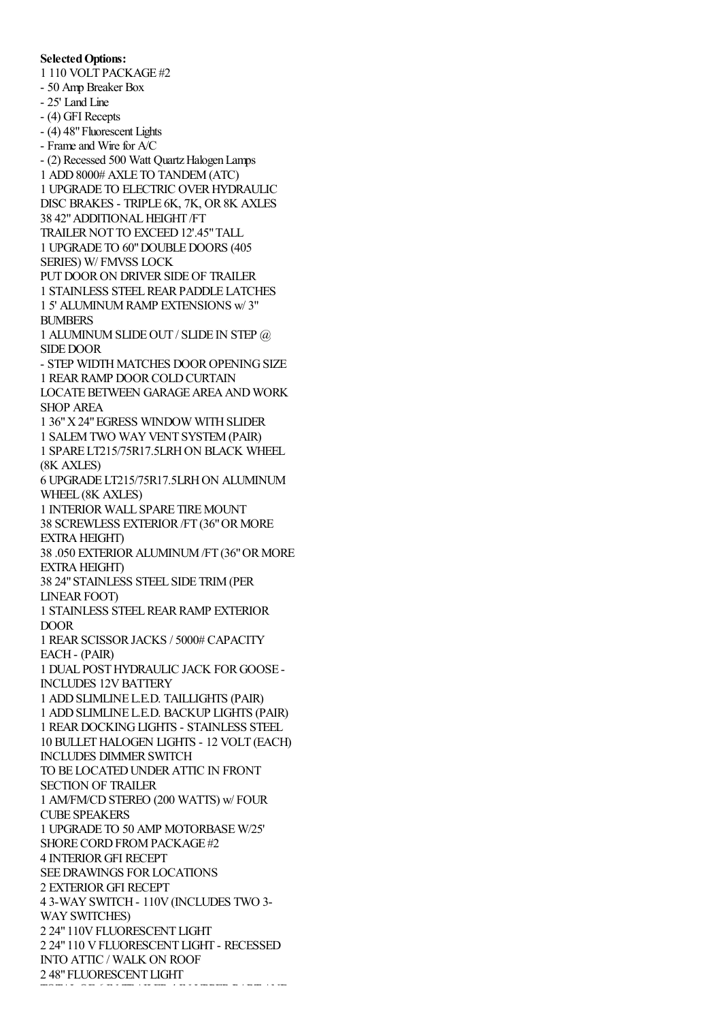## **Selected Options:**

1 110 VOLT PACKAGE #2

STAINLESS STEEL TOP RADIUS

- 50 Amp Breaker Box

- 25' Land Line

- (4) GFI Recepts

- (4) 48"Fluorescent Lights

- Frame and Wire for A/C

- (2) Recessed 500 Watt Quartz Halogen Lamps 1 ADD8000# AXLE TO TANDEM(ATC) 1 UPGRADE TO ELECTRIC OVERHYDRAULIC DISC BRAKES - TRIPLE 6K, 7K, OR 8K AXLES 38 42"ADDITIONALHEIGHT /FT TRAILER NOT TO EXCEED 12'.45" TALL 1 UPGRADE TO 60"DOUBLEDOORS (405 SERIES) W/ FMVSS LOCK PUT DOOR ON DRIVER SIDE OF TRAILER 1 STAINLESS STEELREARPADDLE LATCHES 1 5' ALUMINUMRAMP EXTENSIONS w/ 3" BUMBERS 1 ALUMINUMSLIDEOUT / SLIDE IN STEP @ SIDE DOOR - STEP WIDTH MATCHES DOOR OPENING SIZE 1 REAR RAMP DOOR COLD CURTAIN LOCATE BETWEEN GARAGE AREA AND WORK SHOP AREA 1 36"X24"EGRESS WINDOW WITHSLIDER 1 SALEM TWO WAY VENT SYSTEM (PAIR) 1 SPARE LT215/75R17.5LRHON BLACK WHEEL (8K AXLES) 6 UPGRADE LT215/75R17.5LRHON ALUMINUM WHEEL (8K AXLES) 1 INTERIOR WALL SPARE TIRE MOUNT 38 SCREWLESS EXTERIOR/FT (36"ORMORE EXTRA HEIGHT) 38 .050 EXTERIORALUMINUM/FT (36"ORMORE **EXTRA HEIGHT)** 38 24"STAINLESS STEEL SIDE TRIM(PER LINEAR FOOT) 1 STAINLESS STEELREARRAMP EXTERIOR DOOR 1 REARSCISSORJACKS / 5000# CAPACITY EACH- (PAIR) 1 DUAL POSTHYDRAULIC JACK FORGOOSE - INCLUDES 12V BATTERY 1 ADDSLIMLINE L.E.D. TAILLIGHTS (PAIR) 1 ADDSLIMLINE L.E.D. BACKUP LIGHTS (PAIR) 1 REARDOCKINGLIGHTS - STAINLESS STEEL 10 BULLETHALOGEN LIGHTS - 12 VOLT (EACH) INCLUDES DIMMER SWITCH TO BE LOCATED UNDER ATTIC IN FRONT SECTION OF TRAILER 1 AM/FM/CDSTEREO (200 WATTS) w/ FOUR CUBE SPEAKERS 1 UPGRADE TO 50 AMP MOTORBASEW/25' SHORE CORD FROM PACK AGE #2 4 INTERIORGFI RECEPT SEEDRAWINGS FORLOCATIONS 2 EXTERIORGFI RECEPT 4 3-WAYSWITCH- 110V(INCLUDES TWO 3- WAY SWITCHES) 2 24"110VFLUORESCENT LIGHT 2 24"110 VFLUORESCENT LIGHT - RECESSED INTO ATTIC / WALK ON ROOF

2 48"FLUORESCENT LIGHT

TATALOR FRANCISCHE FRANCISCHE EINER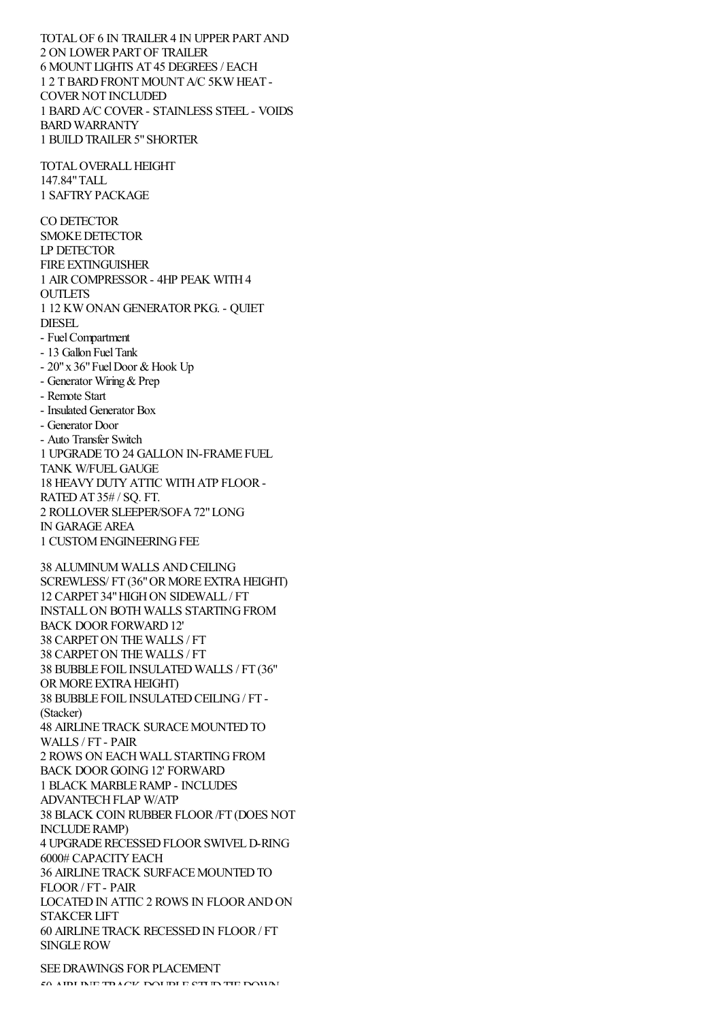TOTAL OF 6 IN TRAILER 4 IN UPPER PART AND 2 ON LOWERPARTOF TRAILER 6 MOUNT LIGHTS AT 45 DEGREES / EACH 1 2 TBARDFRONTMOUNTA/C 5KW HEAT - COVER NOT INCLUDED 1 BARDA/C COVER- STAINLESS STEEL - VOIDS BARD WARRANTY 1 BUILD TRAILER 5" SHORTER TOTAL OVERALL HEIGHT 147.84"TALL 1 SAFTRYPACKAGE CO DETECTOR SMOKEDETECTOR LP DETECTOR FIRE EXTINGUISHER 1 AIRCOMPRESSOR- 4HP PEAK WITH4 **OUTLETS** 1 12 KW ONAN GENERATORPKG. - QUIET DIESEL - FuelCompartment - 13 Gallon FuelTank  $-20$ " x 36" Fuel Door & Hook Up - Generator Wiring & Prep - Remote Start - Insulated Generator Box - Generator Door - Auto Transfer Switch 1 UPGRADE TO 24 GALLON IN-FRAME FUEL TANK W/FUELGAUGE 18 HEAVYDUTYATTIC WITHATP FLOOR-RATEDAT 35# / SQ. FT. 2 ROLLOVERSLEEPER/SOFA72"LONG IN GARAGEAREA 1 CUSTOM ENGINEERING FEE 38 ALUMINUM WALLS ANDCEILING SCREWLESS/ FT (36" OR MORE EXTRA HEIGHT) 12 CARPET 34" HIGH ON SIDEWALL / FT INSTALLON BOTH WALLS STARTINGFROM BACK DOORFORWARD12' 38 CARPETON THEWALLS / FT 38 CARPETON THEWALLS / FT 38 BUBBLE FOIL INSULATED WALLS / FT (36" OR MORE EXTRA HEIGHT) 38 BUBBLE FOIL INSULATEDCEILING/ FT - (Stacker) **48 AIRLINE TRACK SURACE MOUNTED TO** WALLS / FT - PAIR 2 ROWS ON EACH WALL STARTING FROM BACK DOORGOING12' FORWARD 1 BLACK MARBLERAMP - INCLUDES ADVANTECH FLAP W/ATP 38 BLACK COIN RUBBERFLOOR/FT (DOES NOT INCLUDERAMP) 4 UPGRADERECESSEDFLOORSWIVELD-RING 6000# CAPACITYEACH 36 AIRLINE TRACK SURFACE MOUNTED TO FLOOR/ FT - PAIR LOCATED IN ATTIC 2 ROWS IN FLOOR AND ON STAKCERLIFT 60 AIRLINE TRACK RECESSEDIN FLOOR/ FT SINGLEROW

SEE DRAWINGS FOR PLACEMENT  $50$  AIDI IME TRACK DOUBLE STUDIED THE DOWN